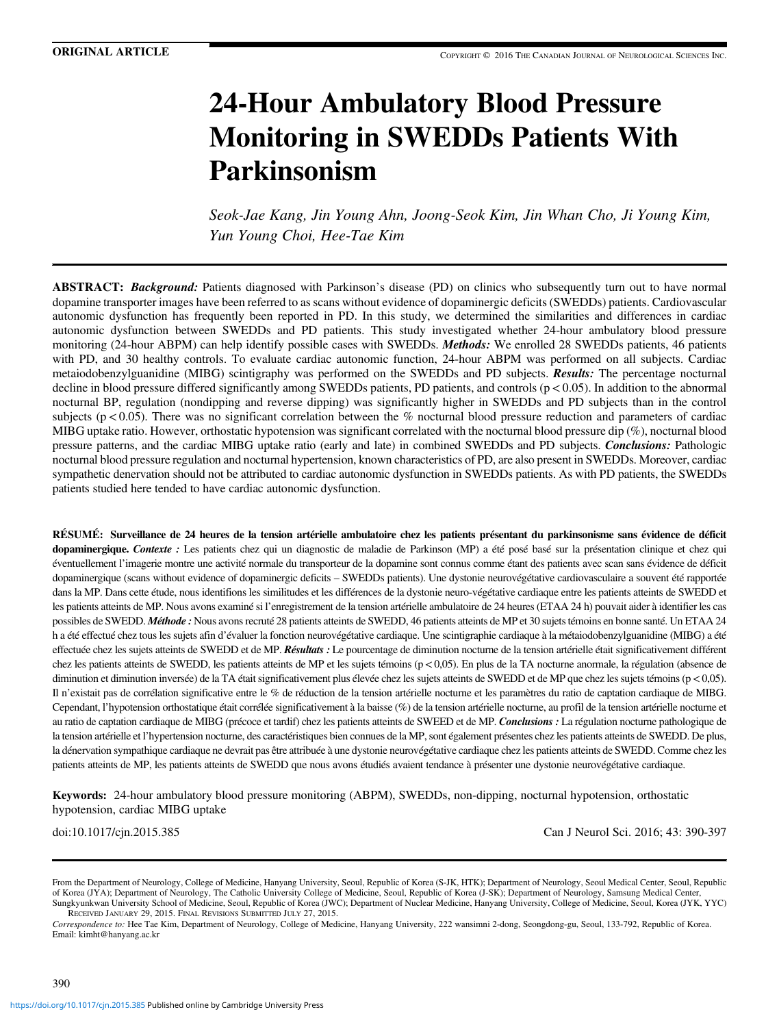# 24-Hour Ambulatory Blood Pressure Monitoring in SWEDDs Patients With Parkinsonism

Seok-Jae Kang, Jin Young Ahn, Joong-Seok Kim, Jin Whan Cho, Ji Young Kim, Yun Young Choi, Hee-Tae Kim

**ABSTRACT:** Background: Patients diagnosed with Parkinson's disease (PD) on clinics who subsequently turn out to have normal dopamine transporter images have been referred to as scans without evidence of dopaminergic deficits (SWEDDs) patients. Cardiovascular autonomic dysfunction has frequently been reported in PD. In this study, we determined the similarities and differences in cardiac autonomic dysfunction between SWEDDs and PD patients. This study investigated whether 24-hour ambulatory blood pressure monitoring (24-hour ABPM) can help identify possible cases with SWEDDs. *Methods*: We enrolled 28 SWEDDs patients, 46 patients with PD, and 30 healthy controls. To evaluate cardiac autonomic function, 24-hour ABPM was performed on all subjects. Cardiac metaiodobenzylguanidine (MIBG) scintigraphy was performed on the SWEDDs and PD subjects. Results: The percentage nocturnal decline in blood pressure differed significantly among SWEDDs patients, PD patients, and controls (p < 0.05). In addition to the abnormal nocturnal BP, regulation (nondipping and reverse dipping) was significantly higher in SWEDDs and PD subjects than in the control subjects ( $p < 0.05$ ). There was no significant correlation between the % nocturnal blood pressure reduction and parameters of cardiac MIBG uptake ratio. However, orthostatic hypotension was significant correlated with the nocturnal blood pressure dip (%), nocturnal blood pressure patterns, and the cardiac MIBG uptake ratio (early and late) in combined SWEDDs and PD subjects. Conclusions: Pathologic nocturnal blood pressure regulation and nocturnal hypertension, known characteristics of PD, are also present in SWEDDs. Moreover, cardiac sympathetic denervation should not be attributed to cardiac autonomic dysfunction in SWEDDs patients. As with PD patients, the SWEDDs patients studied here tended to have cardiac autonomic dysfunction.

RÉSUMÉ: Surveillance de 24 heures de la tension artérielle ambulatoire chez les patients présentant du parkinsonisme sans évidence de déficit dopaminergique. Contexte : Les patients chez qui un diagnostic de maladie de Parkinson (MP) a été posé basé sur la présentation clinique et chez qui éventuellement l'imagerie montre une activité normale du transporteur de la dopamine sont connus comme étant des patients avec scan sans évidence de déficit dopaminergique (scans without evidence of dopaminergic deficits – SWEDDs patients). Une dystonie neurovégétative cardiovasculaire a souvent été rapportée dans la MP. Dans cette étude, nous identifions les similitudes et les différences de la dystonie neuro-végétative cardiaque entre les patients atteints de SWEDD et les patients atteints de MP. Nous avons examiné si l'enregistrement de la tension artérielle ambulatoire de 24 heures (ETAA 24 h) pouvait aider à identifier les cas possibles de SWEDD. Méthode : Nous avons recruté 28 patients atteints de SWEDD, 46 patients atteints de MP et 30 sujets témoins en bonne santé. Un ETAA 24 h a été effectué chez tous les sujets afin d'évaluer la fonction neurovégétative cardiaque. Une scintigraphie cardiaque à la métaiodobenzylguanidine (MIBG) a été effectuée chez les sujets atteints de SWEDD et de MP. Résultats : Le pourcentage de diminution nocturne de la tension artérielle était significativement différent chez les patients atteints de SWEDD, les patients atteints de MP et les sujets témoins (p<0,05). En plus de la TA nocturne anormale, la régulation (absence de diminution et diminution inversée) de la TA était significativement plus élevée chez les sujets atteints de SWEDD et de MP que chez les sujets témoins (p < 0,05). Il n'existait pas de corrélation significative entre le % de réduction de la tension artérielle nocturne et les paramètres du ratio de captation cardiaque de MIBG. Cependant, l'hypotension orthostatique était corrélée significativement à la baisse (%) de la tension artérielle nocturne, au profil de la tension artérielle nocturne et au ratio de captation cardiaque de MIBG (précoce et tardif) chez les patients atteints de SWEED et de MP. Conclusions : La régulation nocturne pathologique de la tension artérielle et l'hypertension nocturne, des caractéristiques bien connues de la MP, sont également présentes chez les patients atteints de SWEDD. De plus, la dénervation sympathique cardiaque ne devrait pas être attribuée à une dystonie neurovégétative cardiaque chez les patients atteints de SWEDD. Comme chez les patients atteints de MP, les patients atteints de SWEDD que nous avons étudiés avaient tendance à présenter une dystonie neurovégétative cardiaque.

Keywords: 24-hour ambulatory blood pressure monitoring (ABPM), SWEDDs, non-dipping, nocturnal hypotension, orthostatic hypotension, cardiac MIBG uptake

doi:10.1017/cjn.2015.385 Can J Neurol Sci. 2016; 43: 390-397

From the Department of Neurology, College of Medicine, Hanyang University, Seoul, Republic of Korea (S-JK, HTK); Department of Neurology, Seoul Medical Center, Seoul, Republic of Korea (JYA); Department of Neurology, The Catholic University College of Medicine, Seoul, Republic of Korea (J-SK); Department of Neurology, Samsung Medical Center, Sungkyunkwan University School of Medicine, Seoul, Republic of Korea (JWC); Department of Nuclear Medicine, Hanyang University, College of Medicine, Seoul, Korea (JYK, YYC) RECEIVED JANUARY 29, 2015. FINAL REVISIONS SUBMITTED JULY 27, 2015.

Correspondence to: Hee Tae Kim, Department of Neurology, College of Medicine, Hanyang University, 222 wansimni 2-dong, Seongdong-gu, Seoul, 133-792, Republic of Korea. Email: [kimht@hanyang.ac.kr](mailto:kimht@hanyang.ac.kr)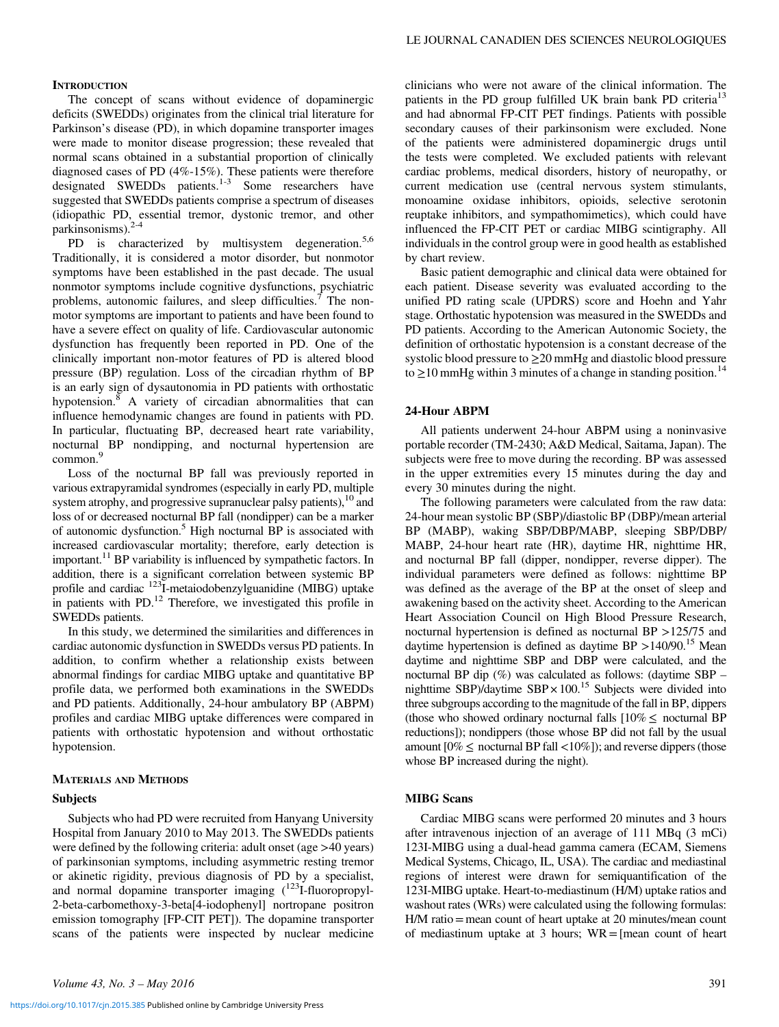#### **INTRODUCTION**

The concept of scans without evidence of dopaminergic deficits (SWEDDs) originates from the clinical trial literature for Parkinson's disease (PD), in which dopamine transporter images were made to monitor disease progression; these revealed that normal scans obtained in a substantial proportion of clinically diagnosed cases of PD (4%-15%). These patients were therefore designated SWEDDs patients.<sup>[1-3](#page-6-0)</sup> Some researchers have suggested that SWEDDs patients comprise a spectrum of diseases (idiopathic PD, essential tremor, dystonic tremor, and other parkinsonisms). $2-4$ 

PD is characterized by multisystem degeneration.<sup>[5,6](#page-6-0)</sup> Traditionally, it is considered a motor disorder, but nonmotor symptoms have been established in the past decade. The usual nonmotor symptoms include cognitive dysfunctions, psychiatric problems, autonomic failures, and sleep difficulties.<sup>[7](#page-6-0)</sup> The nonmotor symptoms are important to patients and have been found to have a severe effect on quality of life. Cardiovascular autonomic dysfunction has frequently been reported in PD. One of the clinically important non-motor features of PD is altered blood pressure (BP) regulation. Loss of the circadian rhythm of BP is an early sign of dysautonomia in PD patients with orthostatic hypotension.<sup>8</sup> A variety of circadian abnormalities that can influence hemodynamic changes are found in patients with PD. In particular, fluctuating BP, decreased heart rate variability, nocturnal BP nondipping, and nocturnal hypertension are  $common<sup>9</sup>$ 

Loss of the nocturnal BP fall was previously reported in various extrapyramidal syndromes (especially in early PD, multiple system atrophy, and progressive supranuclear palsy patients),  $10$  and loss of or decreased nocturnal BP fall (nondipper) can be a marker of autonomic dysfunction.<sup>5</sup> High nocturnal BP is associated with increased cardiovascular mortality; therefore, early detection is important.<sup>[11](#page-6-0)</sup> BP variability is influenced by sympathetic factors. In addition, there is a significant correlation between systemic BP profile and cardiac  $123\text{I}$ -metaiodobenzylguanidine (MIBG) uptake in patients with PD.<sup>12</sup> Therefore, we investigated this profile in SWEDDs patients.

In this study, we determined the similarities and differences in cardiac autonomic dysfunction in SWEDDs versus PD patients. In addition, to confirm whether a relationship exists between abnormal findings for cardiac MIBG uptake and quantitative BP profile data, we performed both examinations in the SWEDDs and PD patients. Additionally, 24-hour ambulatory BP (ABPM) profiles and cardiac MIBG uptake differences were compared in patients with orthostatic hypotension and without orthostatic hypotension.

#### MATERIALS AND METHODS

#### **Subjects**

Subjects who had PD were recruited from Hanyang University Hospital from January 2010 to May 2013. The SWEDDs patients were defined by the following criteria: adult onset (age >40 years) of parkinsonian symptoms, including asymmetric resting tremor or akinetic rigidity, previous diagnosis of PD by a specialist, and normal dopamine transporter imaging (<sup>123</sup>I-fluoropropyl-2-beta-carbomethoxy-3-beta[4-iodophenyl] nortropane positron emission tomography [FP-CIT PET]). The dopamine transporter scans of the patients were inspected by nuclear medicine clinicians who were not aware of the clinical information. The patients in the PD group fulfilled UK brain bank PD criteria<sup>[13](#page-6-0)</sup> and had abnormal FP-CIT PET findings. Patients with possible secondary causes of their parkinsonism were excluded. None of the patients were administered dopaminergic drugs until the tests were completed. We excluded patients with relevant cardiac problems, medical disorders, history of neuropathy, or current medication use (central nervous system stimulants, monoamine oxidase inhibitors, opioids, selective serotonin reuptake inhibitors, and sympathomimetics), which could have influenced the FP-CIT PET or cardiac MIBG scintigraphy. All individuals in the control group were in good health as established by chart review.

Basic patient demographic and clinical data were obtained for each patient. Disease severity was evaluated according to the unified PD rating scale (UPDRS) score and Hoehn and Yahr stage. Orthostatic hypotension was measured in the SWEDDs and PD patients. According to the American Autonomic Society, the definition of orthostatic hypotension is a constant decrease of the systolic blood pressure to  $\geq$ 20 mmHg and diastolic blood pressure to  $\geq$ 10 mmHg within 3 minutes of a change in standing position.<sup>[14](#page-6-0)</sup>

#### 24-Hour ABPM

All patients underwent 24-hour ABPM using a noninvasive portable recorder (TM-2430; A&D Medical, Saitama, Japan). The subjects were free to move during the recording. BP was assessed in the upper extremities every 15 minutes during the day and every 30 minutes during the night.

The following parameters were calculated from the raw data: 24-hour mean systolic BP (SBP)/diastolic BP (DBP)/mean arterial BP (MABP), waking SBP/DBP/MABP, sleeping SBP/DBP/ MABP, 24-hour heart rate (HR), daytime HR, nighttime HR, and nocturnal BP fall (dipper, nondipper, reverse dipper). The individual parameters were defined as follows: nighttime BP was defined as the average of the BP at the onset of sleep and awakening based on the activity sheet. According to the American Heart Association Council on High Blood Pressure Research, nocturnal hypertension is defined as nocturnal BP >125/75 and daytime hypertension is defined as daytime  $BP > 140/90$ .<sup>15</sup> Mean daytime and nighttime SBP and DBP were calculated, and the nocturnal BP dip  $(\%)$  was calculated as follows: (daytime SBP – nighttime SBP)/daytime SBP $\times$ 100.<sup>[15](#page-6-0)</sup> Subjects were divided into three subgroups according to the magnitude of the fall in BP, dippers (those who showed ordinary nocturnal falls  $[10\% \leq$  nocturnal BP reductions]); nondippers (those whose BP did not fall by the usual amount  $[0\% \leq$  nocturnal BP fall <10%]); and reverse dippers (those whose BP increased during the night).

# MIBG Scans

Cardiac MIBG scans were performed 20 minutes and 3 hours after intravenous injection of an average of 111 MBq (3 mCi) 123I-MIBG using a dual-head gamma camera (ECAM, Siemens Medical Systems, Chicago, IL, USA). The cardiac and mediastinal regions of interest were drawn for semiquantification of the 123I-MIBG uptake. Heart-to-mediastinum (H/M) uptake ratios and washout rates (WRs) were calculated using the following formulas: H/M ratio= mean count of heart uptake at 20 minutes/mean count of mediastinum uptake at 3 hours;  $WR =$ [mean count of heart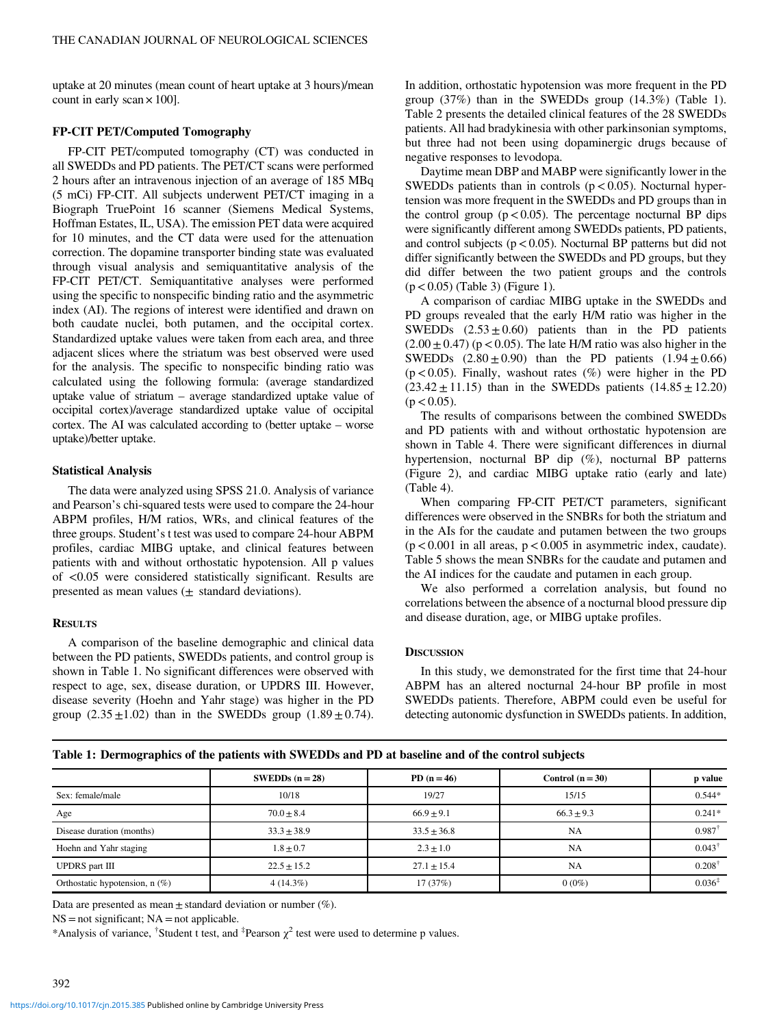uptake at 20 minutes (mean count of heart uptake at 3 hours)/mean count in early scan  $\times$  100].

# FP-CIT PET/Computed Tomography

FP-CIT PET/computed tomography (CT) was conducted in all SWEDDs and PD patients. The PET/CT scans were performed 2 hours after an intravenous injection of an average of 185 MBq (5 mCi) FP-CIT. All subjects underwent PET/CT imaging in a Biograph TruePoint 16 scanner (Siemens Medical Systems, Hoffman Estates, IL, USA). The emission PET data were acquired for 10 minutes, and the CT data were used for the attenuation correction. The dopamine transporter binding state was evaluated through visual analysis and semiquantitative analysis of the FP-CIT PET/CT. Semiquantitative analyses were performed using the specific to nonspecific binding ratio and the asymmetric index (AI). The regions of interest were identified and drawn on both caudate nuclei, both putamen, and the occipital cortex. Standardized uptake values were taken from each area, and three adjacent slices where the striatum was best observed were used for the analysis. The specific to nonspecific binding ratio was calculated using the following formula: (average standardized uptake value of striatum – average standardized uptake value of occipital cortex)/average standardized uptake value of occipital cortex. The AI was calculated according to (better uptake – worse uptake)/better uptake.

#### Statistical Analysis

The data were analyzed using SPSS 21.0. Analysis of variance and Pearson's chi-squared tests were used to compare the 24-hour ABPM profiles, H/M ratios, WRs, and clinical features of the three groups. Student's t test was used to compare 24-hour ABPM profiles, cardiac MIBG uptake, and clinical features between patients with and without orthostatic hypotension. All p values of <0.05 were considered statistically significant. Results are presented as mean values  $(\pm$  standard deviations).

#### **RESULTS**

A comparison of the baseline demographic and clinical data between the PD patients, SWEDDs patients, and control group is shown in Table 1. No significant differences were observed with respect to age, sex, disease duration, or UPDRS III. However, disease severity (Hoehn and Yahr stage) was higher in the PD group  $(2.35 \pm 1.02)$  than in the SWEDDs group  $(1.89 \pm 0.74)$ . In addition, orthostatic hypotension was more frequent in the PD group (37%) than in the SWEDDs group (14.3%) (Table 1). [Table 2](#page-3-0) presents the detailed clinical features of the 28 SWEDDs patients. All had bradykinesia with other parkinsonian symptoms, but three had not been using dopaminergic drugs because of negative responses to levodopa.

Daytime mean DBP and MABP were significantly lower in the SWEDDs patients than in controls  $(p < 0.05)$ . Nocturnal hypertension was more frequent in the SWEDDs and PD groups than in the control group  $(p < 0.05)$ . The percentage nocturnal BP dips were significantly different among SWEDDs patients, PD patients, and control subjects ( $p < 0.05$ ). Nocturnal BP patterns but did not differ significantly between the SWEDDs and PD groups, but they did differ between the two patient groups and the controls  $(p < 0.05)$  ([Table 3\)](#page-4-0) [\(Figure 1](#page-4-0)).

A comparison of cardiac MIBG uptake in the SWEDDs and PD groups revealed that the early H/M ratio was higher in the SWEDDs  $(2.53 \pm 0.60)$  patients than in the PD patients  $(2.00 \pm 0.47)$  (p < 0.05). The late H/M ratio was also higher in the SWEDDs  $(2.80 \pm 0.90)$  than the PD patients  $(1.94 \pm 0.66)$  $(p<0.05)$ . Finally, washout rates  $(\%)$  were higher in the PD  $(23.42 \pm 11.15)$  than in the SWEDDs patients  $(14.85 \pm 12.20)$  $(p < 0.05)$ .

The results of comparisons between the combined SWEDDs and PD patients with and without orthostatic hypotension are shown in [Table 4.](#page-5-0) There were significant differences in diurnal hypertension, nocturnal BP dip (%), nocturnal BP patterns [\(Figure 2\)](#page-4-0), and cardiac MIBG uptake ratio (early and late) [\(Table 4\)](#page-5-0).

When comparing FP-CIT PET/CT parameters, significant differences were observed in the SNBRs for both the striatum and in the AIs for the caudate and putamen between the two groups  $(p < 0.001$  in all areas,  $p < 0.005$  in asymmetric index, caudate). [Table 5](#page-6-0) shows the mean SNBRs for the caudate and putamen and the AI indices for the caudate and putamen in each group.

We also performed a correlation analysis, but found no correlations between the absence of a nocturnal blood pressure dip and disease duration, age, or MIBG uptake profiles.

## **DISCUSSION**

In this study, we demonstrated for the first time that 24-hour ABPM has an altered nocturnal 24-hour BP profile in most SWEDDs patients. Therefore, ABPM could even be useful for detecting autonomic dysfunction in SWEDDs patients. In addition,

|                                  | SWEDDs $(n = 28)$ | PD $(n = 46)$   | Control $(n = 30)$ | p value            |
|----------------------------------|-------------------|-----------------|--------------------|--------------------|
| Sex: female/male                 | 10/18             | 19/27           | 15/15              | $0.544*$           |
| Age                              | $70.0 + 8.4$      | $66.9 + 9.1$    | $66.3 \pm 9.3$     | $0.241*$           |
| Disease duration (months)        | $33.3 \pm 38.9$   | $33.5 \pm 36.8$ | NA                 | 0.987              |
| Hoehn and Yahr staging           | $1.8 \pm 0.7$     | $2.3 \pm 1.0$   | NA                 | $0.043^{\dagger}$  |
| <b>UPDRS</b> part III            | $22.5 \pm 15.2$   | $27.1 \pm 15.4$ | NA                 | $0.208^{\dagger}$  |
| Orthostatic hypotension, $n$ (%) | $4(14.3\%)$       | 17(37%)         | $0(0\%)$           | $0.036^{\ddagger}$ |

Table 1: Dermographics of the patients with SWEDDs and PD at baseline and of the control subjects

Data are presented as mean  $\pm$  standard deviation or number (%).

 $NS = not significant; NA = not applicable.$ 

\*Analysis of variance, <sup>†</sup>Student t test, and <sup>‡</sup>Pearson  $\chi^2$  test were used to determine p values.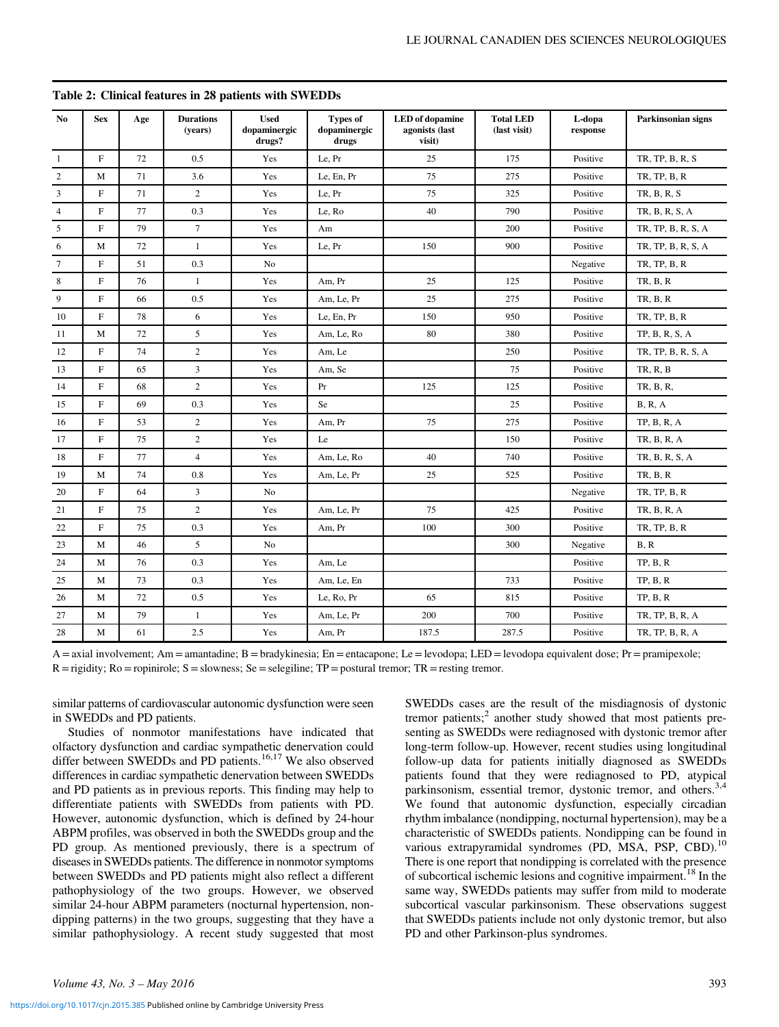| No.             | <b>Sex</b>   | Age | <b>Durations</b><br>(years) | <b>Used</b><br>dopaminergic<br>drugs? | <b>Types of</b><br>dopaminergic<br>drugs | <b>LED</b> of dopamine<br>agonists (last<br>visit) | <b>Total LED</b><br>(last visit) | L-dopa<br>response | Parkinsonian signs |
|-----------------|--------------|-----|-----------------------------|---------------------------------------|------------------------------------------|----------------------------------------------------|----------------------------------|--------------------|--------------------|
| $\mathbf{1}$    | $\mathbf{F}$ | 72  | 0.5                         | Yes                                   | Le, Pr                                   | 25                                                 | 175                              | Positive           | TR, TP, B, R, S    |
| 2               | M            | 71  | 3.6                         | Yes                                   | Le, En, Pr                               | 75                                                 | 275                              | Positive           | TR, TP, B, R       |
| 3               | F            | 71  | $\overline{c}$              | Yes                                   | Le. Pr                                   | 75                                                 | 325                              | Positive           | TR, B, R, S        |
| $\overline{4}$  | F            | 77  | 0.3                         | Yes                                   | Le, Ro                                   | 40                                                 | 790                              | Positive           | TR, B, R, S, A     |
| 5               | $\mathbf{F}$ | 79  | $\tau$                      | Yes                                   | Am                                       |                                                    | 200                              | Positive           | TR, TP, B, R, S, A |
| 6               | M            | 72  | $\mathbf{1}$                | Yes                                   | Le, Pr                                   | 150                                                | 900                              | Positive           | TR, TP, B, R, S, A |
| $7\phantom{.0}$ | $\mathbf F$  | 51  | 0.3                         | N <sub>o</sub>                        |                                          |                                                    |                                  | Negative           | TR, TP, B, R       |
| 8               | F            | 76  | $\mathbf{1}$                | Yes                                   | Am. Pr                                   | 25                                                 | 125                              | Positive           | <b>TR, B, R</b>    |
| 9               | F            | 66  | 0.5                         | Yes                                   | Am, Le, Pr                               | 25                                                 | 275                              | Positive           | <b>TR, B, R</b>    |
| 10              | F            | 78  | 6                           | Yes                                   | Le, En, Pr                               | 150                                                | 950                              | Positive           | TR, TP, B, R       |
| 11              | M            | 72  | 5                           | Yes                                   | Am, Le, Ro                               | 80                                                 | 380                              | Positive           | TP, B, R, S, A     |
| 12              | F            | 74  | $\overline{c}$              | Yes                                   | Am, Le                                   |                                                    | 250                              | Positive           | TR, TP, B, R, S, A |
| 13              | $\mathbf F$  | 65  | $\overline{3}$              | Yes                                   | Am, Se                                   |                                                    | 75                               | Positive           | TR, R, B           |
| 14              | $\mathbf F$  | 68  | $\overline{c}$              | Yes                                   | Pr                                       | 125                                                | 125                              | Positive           | TR, B, R,          |
| 15              | $\mathbf{F}$ | 69  | 0.3                         | Yes                                   | Se                                       |                                                    | 25                               | Positive           | <b>B</b> , R, A    |
| 16              | F            | 53  | $\overline{c}$              | Yes                                   | Am, Pr                                   | 75                                                 | 275                              | Positive           | TP, B, R, A        |
| 17              | $\mathbf F$  | 75  | $\overline{c}$              | Yes                                   | Le                                       |                                                    | 150                              | Positive           | TR, B, R, A        |
| 18              | F            | 77  | $\overline{4}$              | Yes                                   | Am, Le, Ro                               | 40                                                 | 740                              | Positive           | TR, B, R, S, A     |
| 19              | M            | 74  | 0.8                         | Yes                                   | Am, Le, Pr                               | 25                                                 | 525                              | Positive           | <b>TR, B, R</b>    |
| 20              | F            | 64  | 3                           | N <sub>0</sub>                        |                                          |                                                    |                                  | Negative           | TR, TP, B, R       |
| 21              | F            | 75  | $\overline{c}$              | Yes                                   | Am, Le, Pr                               | 75                                                 | 425                              | Positive           | TR, B, R, A        |
| 22              | F            | 75  | 0.3                         | Yes                                   | Am. Pr                                   | 100                                                | 300                              | Positive           | TR, TP, B, R       |
| 23              | M            | 46  | 5                           | No                                    |                                          |                                                    | 300                              | Negative           | B, R               |
| 24              | M            | 76  | 0.3                         | Yes                                   | Am, Le                                   |                                                    |                                  | Positive           | TP, B, R           |
| 25              | M            | 73  | 0.3                         | Yes                                   | Am, Le, En                               |                                                    | 733                              | Positive           | TP, B, R           |
| 26              | M            | 72  | 0.5                         | Yes                                   | Le, Ro, Pr                               | 65                                                 | 815                              | Positive           | TP, B, R           |
| 27              | M            | 79  | $\mathbf{1}$                | Yes                                   | Am, Le, Pr                               | 200                                                | 700                              | Positive           | TR, TP, B, R, A    |
| 28              | M            | 61  | 2.5                         | Yes                                   | Am, Pr                                   | 187.5                                              | 287.5                            | Positive           | TR, TP, B, R, A    |

## <span id="page-3-0"></span>Table 2: Clinical features in 28 patients with SWEDDs

 $A =$ axial involvement; Am = amantadine; B = bradykinesia; En = entacapone; Le = levodopa; LED = levodopa equivalent dose; Pr = pramipexole;  $R =$ rigidity;  $Ro =$ ropinirole;  $S =$ slowness;  $Se =$ selegiline;  $TP =$ postural tremor;  $TR =$ resting tremor.

similar patterns of cardiovascular autonomic dysfunction were seen in SWEDDs and PD patients.

Studies of nonmotor manifestations have indicated that olfactory dysfunction and cardiac sympathetic denervation could differ between SWEDDs and PD patients.<sup>[16,17](#page-6-0)</sup> We also observed differences in cardiac sympathetic denervation between SWEDDs and PD patients as in previous reports. This finding may help to differentiate patients with SWEDDs from patients with PD. However, autonomic dysfunction, which is defined by 24-hour ABPM profiles, was observed in both the SWEDDs group and the PD group. As mentioned previously, there is a spectrum of diseases in SWEDDs patients. The difference in nonmotor symptoms between SWEDDs and PD patients might also reflect a different pathophysiology of the two groups. However, we observed similar 24-hour ABPM parameters (nocturnal hypertension, nondipping patterns) in the two groups, suggesting that they have a similar pathophysiology. A recent study suggested that most SWEDDs cases are the result of the misdiagnosis of dystonic tremor patients;<sup>[2](#page-6-0)</sup> another study showed that most patients presenting as SWEDDs were rediagnosed with dystonic tremor after long-term follow-up. However, recent studies using longitudinal follow-up data for patients initially diagnosed as SWEDDs patients found that they were rediagnosed to PD, atypical parkinsonism, essential tremor, dystonic tremor, and others.<sup>[3,4](#page-6-0)</sup> We found that autonomic dysfunction, especially circadian rhythm imbalance (nondipping, nocturnal hypertension), may be a characteristic of SWEDDs patients. Nondipping can be found in various extrapyramidal syndromes (PD, MSA, PSP, CBD).<sup>[10](#page-6-0)</sup> There is one report that nondipping is correlated with the presence of subcortical ischemic lesions and cognitive impairment.<sup>[18](#page-6-0)</sup> In the same way, SWEDDs patients may suffer from mild to moderate subcortical vascular parkinsonism. These observations suggest that SWEDDs patients include not only dystonic tremor, but also PD and other Parkinson-plus syndromes.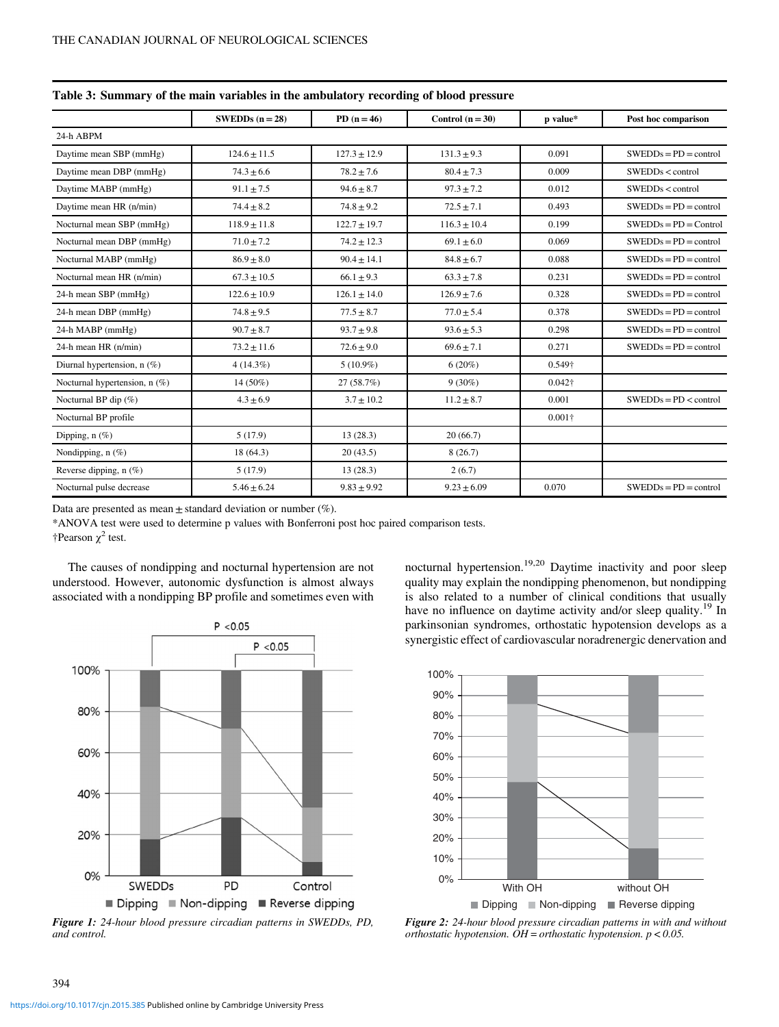|                               | SWEDDs $(n = 28)$ | $PD (n = 46)$    | Control $(n = 30)$ | p value*       | Post hoc comparison     |  |
|-------------------------------|-------------------|------------------|--------------------|----------------|-------------------------|--|
| 24-h ABPM                     |                   |                  |                    |                |                         |  |
| Daytime mean SBP (mmHg)       | $124.6 \pm 11.5$  | $127.3 \pm 12.9$ | $131.3 \pm 9.3$    | 0.091          | $SWEDDs = PD = control$ |  |
| Daytime mean DBP (mmHg)       | $74.3 \pm 6.6$    | $78.2 \pm 7.6$   | $80.4 \pm 7.3$     | 0.009          | SWEDDs < control        |  |
| Daytime MABP (mmHg)           | $91.1 \pm 7.5$    | $94.6 \pm 8.7$   | $97.3 \pm 7.2$     | 0.012          | SWEDDs < control        |  |
| Daytime mean HR (n/min)       | $74.4 \pm 8.2$    | $74.8 \pm 9.2$   | $72.5 \pm 7.1$     | 0.493          | $SWEDDs = PD = control$ |  |
| Nocturnal mean SBP (mmHg)     | $118.9 \pm 11.8$  | $122.7 \pm 19.7$ | $116.3 \pm 10.4$   | 0.199          | $SWEDDs = PD = Control$ |  |
| Nocturnal mean DBP (mmHg)     | $71.0 \pm 7.2$    | $74.2 \pm 12.3$  | $69.1 \pm 6.0$     | 0.069          | $SWEDDs = PD = control$ |  |
| Nocturnal MABP (mmHg)         | $86.9 \pm 8.0$    | $90.4 \pm 14.1$  | $84.8 \pm 6.7$     | 0.088          | $SWEDDs = PD = control$ |  |
| Nocturnal mean HR (n/min)     | $67.3 \pm 10.5$   | $66.1 \pm 9.3$   | $63.3 \pm 7.8$     | 0.231          | $SWEDDs = PD = control$ |  |
| 24-h mean SBP (mmHg)          | $122.6 \pm 10.9$  | $126.1 \pm 14.0$ | $126.9 \pm 7.6$    | 0.328          | $SWEDDs = PD = control$ |  |
| 24-h mean DBP (mmHg)          | $74.8 \pm 9.5$    | $77.5 \pm 8.7$   | $77.0 \pm 5.4$     | 0.378          | $SWEDDs = PD = control$ |  |
| 24-h MABP (mmHg)              | $90.7 \pm 8.7$    | $93.7 \pm 9.8$   | $93.6 \pm 5.3$     | 0.298          | $SWEDDs = PD = control$ |  |
| 24-h mean HR (n/min)          | $73.2 \pm 11.6$   | $72.6 \pm 9.0$   | $69.6 \pm 7.1$     | 0.271          | $SWEDDs = PD = control$ |  |
| Diurnal hypertension, n (%)   | $4(14.3\%)$       | $5(10.9\%)$      | $6(20\%)$          | 0.549†         |                         |  |
| Nocturnal hypertension, n (%) | $14(50\%)$        | 27(58.7%)        | $9(30\%)$          | $0.042\dagger$ |                         |  |
| Nocturnal BP dip $(\%)$       | $4.3 \pm 6.9$     | $3.7 \pm 10.2$   | $11.2 \pm 8.7$     | 0.001          | $SWEDDs = PD <$ control |  |
| Nocturnal BP profile          |                   |                  |                    | $0.001\dagger$ |                         |  |
| Dipping, $n$ (%)              | 5(17.9)           | 13(28.3)         | 20(66.7)           |                |                         |  |
| Nondipping, $n$ (%)           | 18 (64.3)         | 20(43.5)         | 8(26.7)            |                |                         |  |
| Reverse dipping, $n$ (%)      | 5(17.9)           | 13(28.3)         | 2(6.7)             |                |                         |  |
| Nocturnal pulse decrease      | $5.46 \pm 6.24$   | $9.83 \pm 9.92$  | $9.23 \pm 6.09$    | 0.070          | $SWEDDs = PD = control$ |  |

<span id="page-4-0"></span>Table 3: Summary of the main variables in the ambulatory recording of blood pressure

Data are presented as mean  $\pm$  standard deviation or number (%).

\*ANOVA test were used to determine p values with Bonferroni post hoc paired comparison tests.

†Pearson  $\chi^2$  test.

The causes of nondipping and nocturnal hypertension are not understood. However, autonomic dysfunction is almost always associated with a nondipping BP profile and sometimes even with



Figure 1: 24-hour blood pressure circadian patterns in SWEDDs, PD, and control.

nocturnal hypertension.<sup>[19,20](#page-6-0)</sup> Daytime inactivity and poor sleep quality may explain the nondipping phenomenon, but nondipping is also related to a number of clinical conditions that usually have no influence on daytime activity and/or sleep quality.<sup>[19](#page-6-0)</sup> In parkinsonian syndromes, orthostatic hypotension develops as a synergistic effect of cardiovascular noradrenergic denervation and



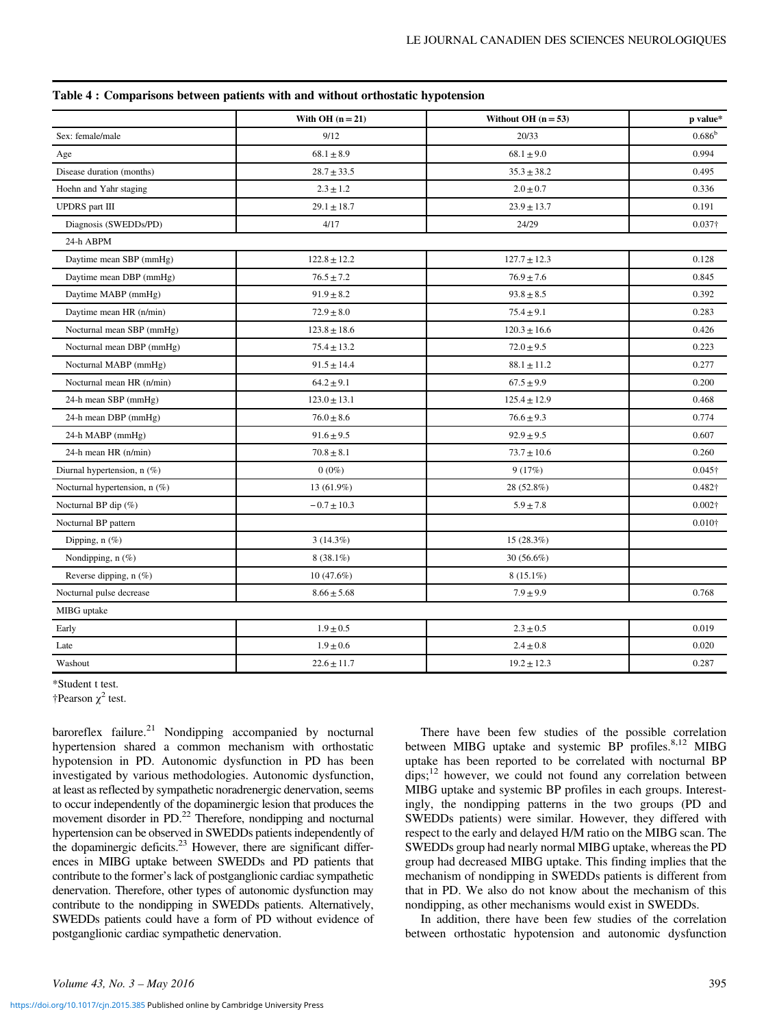|                                 | With OH $(n = 21)$ | Without OH $(n = 53)$ | p value*        |
|---------------------------------|--------------------|-----------------------|-----------------|
| Sex: female/male                | 9/12               | 20/33                 | $0.686^{\rm b}$ |
| Age                             | $68.1 \pm 8.9$     | $68.1 \pm 9.0$        | 0.994           |
| Disease duration (months)       | $28.7 \pm 33.5$    | $35.3 \pm 38.2$       | 0.495           |
| Hoehn and Yahr staging          | $2.3\pm1.2$        | $2.0 \pm 0.7$         | 0.336           |
| <b>UPDRS</b> part III           | $29.1 \pm 18.7$    | $23.9 \pm 13.7$       | 0.191           |
| Diagnosis (SWEDDs/PD)           | 4/17               | 24/29                 | $0.037\dagger$  |
| 24-h ABPM                       |                    |                       |                 |
| Daytime mean SBP (mmHg)         | $122.8 \pm 12.2$   | $127.7 \pm 12.3$      | 0.128           |
| Daytime mean DBP (mmHg)         | $76.5 \pm 7.2$     | $76.9 \pm 7.6$        | 0.845           |
| Daytime MABP (mmHg)             | $91.9 \pm 8.2$     | $93.8 \pm 8.5$        | 0.392           |
| Daytime mean HR (n/min)         | $72.9 \pm 8.0$     | $75.4 \pm 9.1$        | 0.283           |
| Nocturnal mean SBP (mmHg)       | $123.8 \pm 18.6$   | $120.3 \pm 16.6$      | 0.426           |
| Nocturnal mean DBP (mmHg)       | $75.4 \pm 13.2$    | $72.0 \pm 9.5$        | 0.223           |
| Nocturnal MABP (mmHg)           | $91.5 \pm 14.4$    | $88.1 \pm 11.2$       | 0.277           |
| Nocturnal mean HR (n/min)       | $64.2 \pm 9.1$     | $67.5 \pm 9.9$        | 0.200           |
| 24-h mean SBP (mmHg)            | $123.0 \pm 13.1$   | $125.4 \pm 12.9$      | 0.468           |
| 24-h mean DBP (mmHg)            | $76.0 \pm 8.6$     | $76.6 \pm 9.3$        | 0.774           |
| 24-h MABP (mmHg)                | $91.6 \pm 9.5$     | $92.9 \pm 9.5$        | 0.607           |
| 24-h mean HR (n/min)            | $70.8 \pm 8.1$     | $73.7 \pm 10.6$       | 0.260           |
| Diurnal hypertension, n (%)     | $0(0\%)$           | 9(17%)                | $0.045\dagger$  |
| Nocturnal hypertension, $n$ (%) | 13 (61.9%)         | 28 (52.8%)            | 0.482†          |
| Nocturnal BP dip (%)            | $-0.7\pm10.3$      | $5.9 \pm 7.8$         | $0.002\dagger$  |
| Nocturnal BP pattern            |                    |                       | $0.010\dagger$  |
| Dipping, $n$ (%)                | $3(14.3\%)$        | 15(28.3%)             |                 |
| Nondipping, $n$ (%)             | $8(38.1\%)$        | 30 $(56.6\%)$         |                 |
| Reverse dipping, n (%)          | $10(47.6\%)$       | $8(15.1\%)$           |                 |
| Nocturnal pulse decrease        | $8.66 \pm 5.68$    | $7.9 \pm 9.9$         | 0.768           |
| MIBG uptake                     |                    |                       |                 |
| Early                           | $1.9 \pm 0.5$      | $2.3 \pm 0.5$         | 0.019           |
| Late                            | $1.9 \pm 0.6$      | $2.4 \pm 0.8$         | 0.020           |
| Washout                         | $22.6 \pm 11.7$    | $19.2 \pm 12.3$       | 0.287           |

<span id="page-5-0"></span>Table 4 : Comparisons between patients with and without orthostatic hypotension

\*Student t test.

†Pearson  $\chi^2$  test.

baroreflex failure.<sup>[21](#page-7-0)</sup> Nondipping accompanied by nocturnal hypertension shared a common mechanism with orthostatic hypotension in PD. Autonomic dysfunction in PD has been investigated by various methodologies. Autonomic dysfunction, at least as reflected by sympathetic noradrenergic denervation, seems to occur independently of the dopaminergic lesion that produces the movement disorder in PD.<sup>[22](#page-7-0)</sup> Therefore, nondipping and nocturnal hypertension can be observed in SWEDDs patients independently of the dopaminergic deficits.<sup>23</sup> However, there are significant differences in MIBG uptake between SWEDDs and PD patients that contribute to the former's lack of postganglionic cardiac sympathetic denervation. Therefore, other types of autonomic dysfunction may contribute to the nondipping in SWEDDs patients. Alternatively, SWEDDs patients could have a form of PD without evidence of postganglionic cardiac sympathetic denervation.

There have been few studies of the possible correlation between MIBG uptake and systemic BP profiles.<sup>[8](#page-6-0),[12](#page-6-0)</sup> MIBG uptake has been reported to be correlated with nocturnal BP  $dips;<sup>12</sup>$  however, we could not found any correlation between MIBG uptake and systemic BP profiles in each groups. Interestingly, the nondipping patterns in the two groups (PD and SWEDDs patients) were similar. However, they differed with respect to the early and delayed H/M ratio on the MIBG scan. The SWEDDs group had nearly normal MIBG uptake, whereas the PD group had decreased MIBG uptake. This finding implies that the mechanism of nondipping in SWEDDs patients is different from that in PD. We also do not know about the mechanism of this nondipping, as other mechanisms would exist in SWEDDs.

In addition, there have been few studies of the correlation between orthostatic hypotension and autonomic dysfunction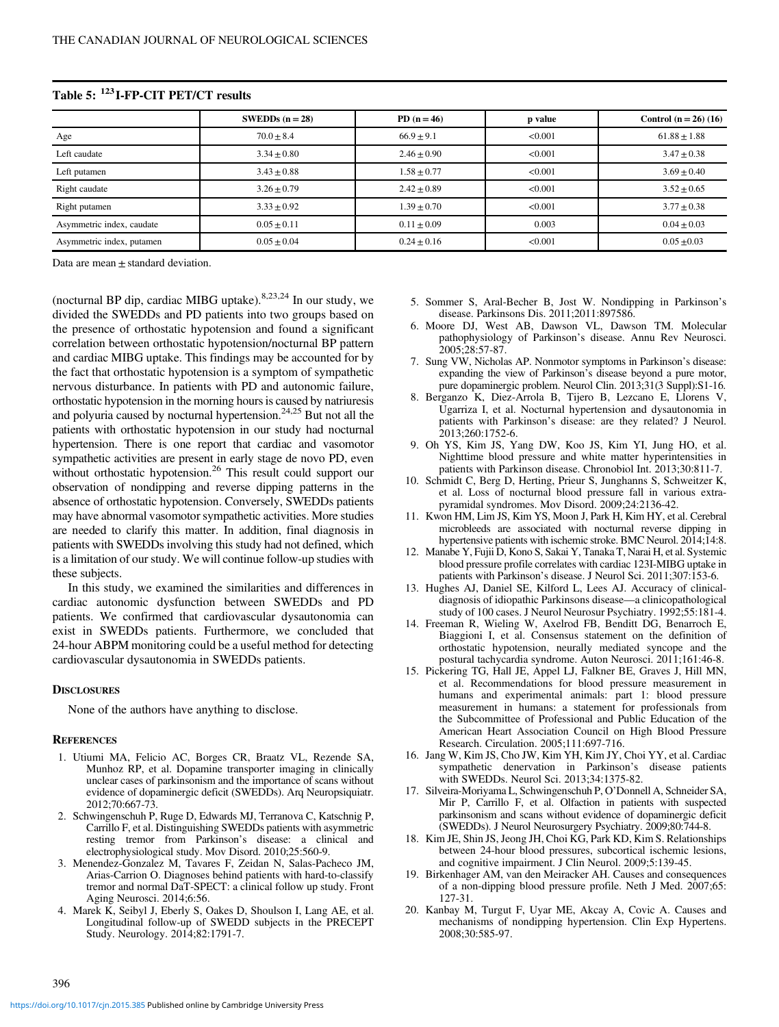| SWEDDs $(n = 28)$ | $PD (n = 46)$ | p value | Control $(n = 26)$ (16) |
|-------------------|---------------|---------|-------------------------|
| $70.0 + 8.4$      | $66.9 + 9.1$  | < 0.001 | $61.88 \pm 1.88$        |
| $3.34 + 0.80$     | $2.46 + 0.90$ | < 0.001 | $3.47 \pm 0.38$         |
| $3.43 + 0.88$     | $1.58 + 0.77$ | < 0.001 | $3.69 \pm 0.40$         |
| $3.26 \pm 0.79$   | $2.42 + 0.89$ | < 0.001 | $3.52 \pm 0.65$         |
| $3.33 + 0.92$     | $1.39 + 0.70$ | < 0.001 | $3.77 \pm 0.38$         |
| $0.05 + 0.11$     | $0.11 + 0.09$ | 0.003   | $0.04 \pm 0.03$         |
| $0.05 + 0.04$     | $0.24 + 0.16$ | < 0.001 | $0.05 \pm 0.03$         |
|                   |               |         |                         |

<span id="page-6-0"></span>Table 5: 123I-FP-CIT PET/CT results

Data are mean  $\pm$  standard deviation.

(nocturnal BP dip, cardiac MIBG uptake).8,[23,24](#page-7-0) In our study, we divided the SWEDDs and PD patients into two groups based on the presence of orthostatic hypotension and found a significant correlation between orthostatic hypotension/nocturnal BP pattern and cardiac MIBG uptake. This findings may be accounted for by the fact that orthostatic hypotension is a symptom of sympathetic nervous disturbance. In patients with PD and autonomic failure, orthostatic hypotension in the morning hours is caused by natriuresis and polyuria caused by nocturnal hypertension.<sup>24,25</sup> But not all the patients with orthostatic hypotension in our study had nocturnal hypertension. There is one report that cardiac and vasomotor sympathetic activities are present in early stage de novo PD, even without orthostatic hypotension.<sup>[26](#page-7-0)</sup> This result could support our observation of nondipping and reverse dipping patterns in the absence of orthostatic hypotension. Conversely, SWEDDs patients may have abnormal vasomotor sympathetic activities. More studies are needed to clarify this matter. In addition, final diagnosis in patients with SWEDDs involving this study had not defined, which is a limitation of our study. We will continue follow-up studies with these subjects.

In this study, we examined the similarities and differences in cardiac autonomic dysfunction between SWEDDs and PD patients. We confirmed that cardiovascular dysautonomia can exist in SWEDDs patients. Furthermore, we concluded that 24-hour ABPM monitoring could be a useful method for detecting cardiovascular dysautonomia in SWEDDs patients.

#### **DISCLOSURES**

None of the authors have anything to disclose.

#### **REFERENCES**

- 1. Utiumi MA, Felicio AC, Borges CR, Braatz VL, Rezende SA, Munhoz RP, et al. Dopamine transporter imaging in clinically unclear cases of parkinsonism and the importance of scans without evidence of dopaminergic deficit (SWEDDs). Arq Neuropsiquiatr. 2012;70:667-73.
- 2. Schwingenschuh P, Ruge D, Edwards MJ, Terranova C, Katschnig P, Carrillo F, et al. Distinguishing SWEDDs patients with asymmetric resting tremor from Parkinson's disease: a clinical and electrophysiological study. Mov Disord. 2010;25:560-9.
- 3. Menendez-Gonzalez M, Tavares F, Zeidan N, Salas-Pacheco JM, Arias-Carrion O. Diagnoses behind patients with hard-to-classify tremor and normal DaT-SPECT: a clinical follow up study. Front Aging Neurosci. 2014;6:56.
- 4. Marek K, Seibyl J, Eberly S, Oakes D, Shoulson I, Lang AE, et al. Longitudinal follow-up of SWEDD subjects in the PRECEPT Study. Neurology. 2014;82:1791-7.
- 5. Sommer S, Aral-Becher B, Jost W. Nondipping in Parkinson's disease. Parkinsons Dis. 2011;2011:897586.
- 6. Moore DJ, West AB, Dawson VL, Dawson TM. Molecular pathophysiology of Parkinson's disease. Annu Rev Neurosci. 2005;28:57-87.
- 7. Sung VW, Nicholas AP. Nonmotor symptoms in Parkinson's disease: expanding the view of Parkinson's disease beyond a pure motor, pure dopaminergic problem. Neurol Clin. 2013;31(3 Suppl):S1-16.
- 8. Berganzo K, Diez-Arrola B, Tijero B, Lezcano E, Llorens V, Ugarriza I, et al. Nocturnal hypertension and dysautonomia in patients with Parkinson's disease: are they related? J Neurol. 2013;260:1752-6.
- 9. Oh YS, Kim JS, Yang DW, Koo JS, Kim YI, Jung HO, et al. Nighttime blood pressure and white matter hyperintensities in patients with Parkinson disease. Chronobiol Int. 2013;30:811-7.
- 10. Schmidt C, Berg D, Herting, Prieur S, Junghanns S, Schweitzer K, et al. Loss of nocturnal blood pressure fall in various extrapyramidal syndromes. Mov Disord. 2009;24:2136-42.
- 11. Kwon HM, Lim JS, Kim YS, Moon J, Park H, Kim HY, et al. Cerebral microbleeds are associated with nocturnal reverse dipping in hypertensive patients with ischemic stroke. BMC Neurol. 2014;14:8.
- 12. Manabe Y, Fujii D, Kono S, Sakai Y, Tanaka T, Narai H, et al. Systemic blood pressure profile correlates with cardiac 123I-MIBG uptake in patients with Parkinson's disease. J Neurol Sci. 2011;307:153-6.
- 13. Hughes AJ, Daniel SE, Kilford L, Lees AJ. Accuracy of clinicaldiagnosis of idiopathic Parkinsons disease—a clinicopathological study of 100 cases. J Neurol Neurosur Psychiatry. 1992;55:181-4.
- 14. Freeman R, Wieling W, Axelrod FB, Benditt DG, Benarroch E, Biaggioni I, et al. Consensus statement on the definition of orthostatic hypotension, neurally mediated syncope and the postural tachycardia syndrome. Auton Neurosci. 2011;161:46-8.
- 15. Pickering TG, Hall JE, Appel LJ, Falkner BE, Graves J, Hill MN, et al. Recommendations for blood pressure measurement in humans and experimental animals: part 1: blood pressure measurement in humans: a statement for professionals from the Subcommittee of Professional and Public Education of the American Heart Association Council on High Blood Pressure Research. Circulation. 2005;111:697-716.
- 16. Jang W, Kim JS, Cho JW, Kim YH, Kim JY, Choi YY, et al. Cardiac sympathetic denervation in Parkinson's disease patients with SWEDDs. Neurol Sci. 2013;34:1375-82.
- 17. Silveira-Moriyama L, Schwingenschuh P, O'Donnell A, Schneider SA, Mir P, Carrillo F, et al. Olfaction in patients with suspected parkinsonism and scans without evidence of dopaminergic deficit (SWEDDs). J Neurol Neurosurgery Psychiatry. 2009;80:744-8.
- 18. Kim JE, Shin JS, Jeong JH, Choi KG, Park KD, Kim S. Relationships between 24-hour blood pressures, subcortical ischemic lesions, and cognitive impairment. J Clin Neurol. 2009;5:139-45.
- 19. Birkenhager AM, van den Meiracker AH. Causes and consequences of a non-dipping blood pressure profile. Neth J Med. 2007;65: 127-31.
- 20. Kanbay M, Turgut F, Uyar ME, Akcay A, Covic A. Causes and mechanisms of nondipping hypertension. Clin Exp Hypertens. 2008;30:585-97.